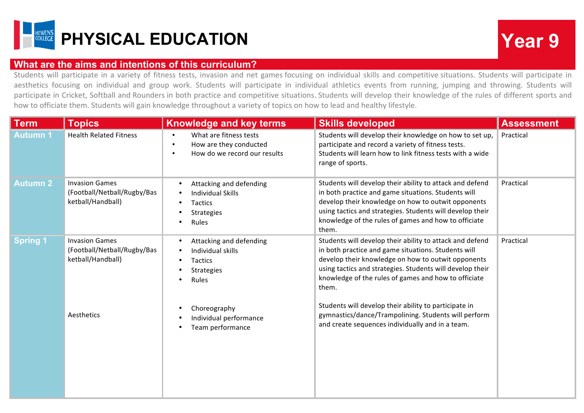

## **What are the aims and intentions of this curriculum?**

Students will participate in a variety of fitness tests, invasion and net games focusing on individual skills and competitive situations. Students will participate in aesthetics focusing on individual and group work. Students will participate in individual athletics events from running, jumping and throwing. Students will participate in Cricket, Softball and Rounders in both practice and competitive situations. Students will develop their knowledge of the rules of different sports and how to officiate them. Students will gain knowledge throughout a variety of topics on how to lead and healthy lifestyle.

| <b>Term</b>     | <b>Topics</b>                                                             | <b>Knowledge and key terms</b>                                                                                          | <b>Skills developed</b>                                                                                                                                                                                                                                                                             | <b>Assessment</b> |
|-----------------|---------------------------------------------------------------------------|-------------------------------------------------------------------------------------------------------------------------|-----------------------------------------------------------------------------------------------------------------------------------------------------------------------------------------------------------------------------------------------------------------------------------------------------|-------------------|
| Autumn 1        | <b>Health Related Fitness</b>                                             | What are fitness tests<br>$\bullet$<br>How are they conducted<br>$\bullet$<br>How do we record our results<br>$\bullet$ | Students will develop their knowledge on how to set up,<br>participate and record a variety of fitness tests.<br>Students will learn how to link fitness tests with a wide<br>range of sports.                                                                                                      | Practical         |
| <b>Autumn 2</b> | <b>Invasion Games</b><br>(Football/Netball/Rugby/Bas<br>ketball/Handball) | Attacking and defending<br>$\bullet$<br><b>Individual Skills</b><br>Tactics<br>Strategies<br>Rules                      | Students will develop their ability to attack and defend<br>in both practice and game situations. Students will<br>develop their knowledge on how to outwit opponents<br>using tactics and strategies. Students will develop their<br>knowledge of the rules of games and how to officiate<br>them. | Practical         |
| <b>Spring 1</b> | <b>Invasion Games</b><br>(Football/Netball/Rugby/Bas<br>ketball/Handball) | Attacking and defending<br>$\bullet$<br>Individual skills<br>$\bullet$<br>Tactics<br><b>Strategies</b><br>Rules         | Students will develop their ability to attack and defend<br>in both practice and game situations. Students will<br>develop their knowledge on how to outwit opponents<br>using tactics and strategies. Students will develop their<br>knowledge of the rules of games and how to officiate<br>them. | Practical         |
|                 | Aesthetics                                                                | Choreography<br>٠<br>Individual performance<br>Team performance                                                         | Students will develop their ability to participate in<br>gymnastics/dance/Trampolining. Students will perform<br>and create sequences individually and in a team.                                                                                                                                   |                   |